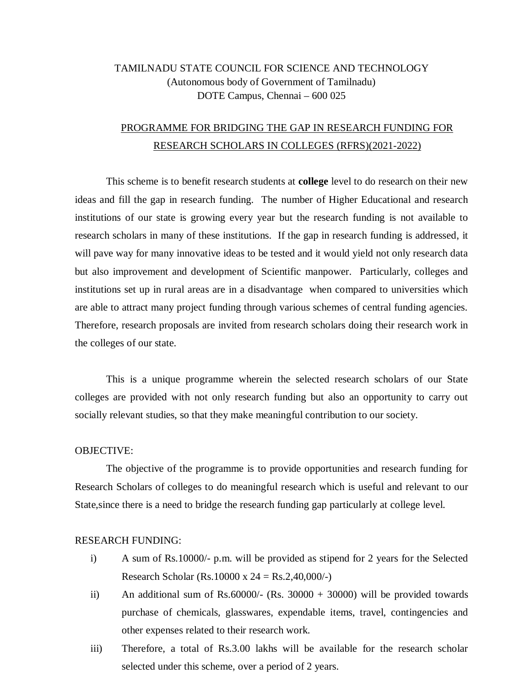## TAMILNADU STATE COUNCIL FOR SCIENCE AND TECHNOLOGY (Autonomous body of Government of Tamilnadu) DOTE Campus, Chennai – 600 025

# PROGRAMME FOR BRIDGING THE GAP IN RESEARCH FUNDING FOR RESEARCH SCHOLARS IN COLLEGES (RFRS)(2021-2022)

This scheme is to benefit research students at **college** level to do research on their new ideas and fill the gap in research funding. The number of Higher Educational and research institutions of our state is growing every year but the research funding is not available to research scholars in many of these institutions. If the gap in research funding is addressed, it will pave way for many innovative ideas to be tested and it would yield not only research data but also improvement and development of Scientific manpower. Particularly, colleges and institutions set up in rural areas are in a disadvantage when compared to universities which are able to attract many project funding through various schemes of central funding agencies. Therefore, research proposals are invited from research scholars doing their research work in the colleges of our state.

This is a unique programme wherein the selected research scholars of our State colleges are provided with not only research funding but also an opportunity to carry out socially relevant studies, so that they make meaningful contribution to our society.

#### OBJECTIVE:

The objective of the programme is to provide opportunities and research funding for Research Scholars of colleges to do meaningful research which is useful and relevant to our State,since there is a need to bridge the research funding gap particularly at college level.

#### RESEARCH FUNDING:

- i) A sum of Rs.10000/- p.m. will be provided as stipend for 2 years for the Selected Research Scholar (Rs.10000 x  $24 = \text{Rs}.2,40,000/$ -)
- ii) An additional sum of Rs.60000/- (Rs. 30000 + 30000) will be provided towards purchase of chemicals, glasswares, expendable items, travel, contingencies and other expenses related to their research work.
- iii) Therefore, a total of Rs.3.00 lakhs will be available for the research scholar selected under this scheme, over a period of 2 years.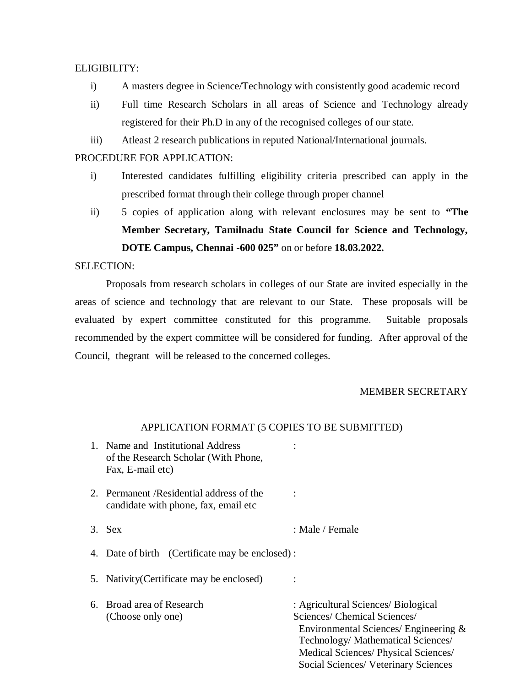## ELIGIBILITY:

- i) A masters degree in Science/Technology with consistently good academic record
- ii) Full time Research Scholars in all areas of Science and Technology already registered for their Ph.D in any of the recognised colleges of our state.
- iii) Atleast 2 research publications in reputed National/International journals.

## PROCEDURE FOR APPLICATION:

- i) Interested candidates fulfilling eligibility criteria prescribed can apply in the prescribed format through their college through proper channel
- ii) 5 copies of application along with relevant enclosures may be sent to **"The Member Secretary, Tamilnadu State Council for Science and Technology, DOTE Campus, Chennai -600 025"** on or before **18.03.2022.**

## SELECTION:

Proposals from research scholars in colleges of our State are invited especially in the areas of science and technology that are relevant to our State. These proposals will be evaluated by expert committee constituted for this programme. Suitable proposals recommended by the expert committee will be considered for funding. After approval of the Council, thegrant will be released to the concerned colleges.

## MEMBER SECRETARY

#### APPLICATION FORMAT (5 COPIES TO BE SUBMITTED)

- 1. Name and Institutional Address : of the Research Scholar (With Phone, Fax, E-mail etc)
- 2. Permanent /Residential address of the : candidate with phone, fax, email etc
- 3. Sex : Male / Female
- 4. Date of birth (Certificate may be enclosed) :
- 5. Nativity(Certificate may be enclosed) :
- 6. Broad area of Research : Agricultural Sciences/ Biological
	- (Choose only one) Sciences/ Chemical Sciences/ Environmental Sciences/ Engineering & Technology/ Mathematical Sciences/ Medical Sciences/ Physical Sciences/ Social Sciences/ Veterinary Sciences